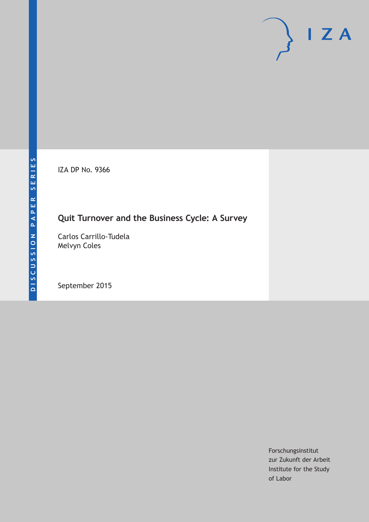IZA DP No. 9366

# **Quit Turnover and the Business Cycle: A Survey**

Carlos Carrillo-Tudela Melvyn Coles

September 2015

Forschungsinstitut zur Zukunft der Arbeit Institute for the Study of Labor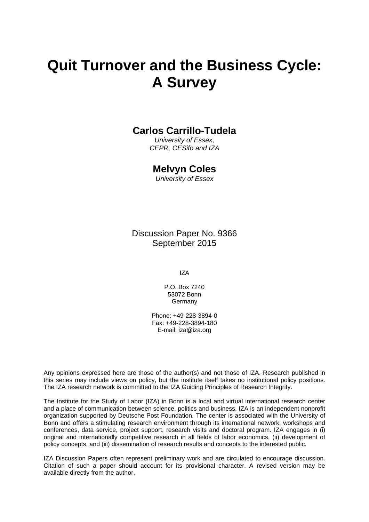# **Quit Turnover and the Business Cycle: A Survey**

### **Carlos Carrillo-Tudela**

*University of Essex, CEPR, CESifo and IZA* 

### **Melvyn Coles**

*University of Essex* 

Discussion Paper No. 9366 September 2015

IZA

P.O. Box 7240 53072 Bonn **Germany** 

Phone: +49-228-3894-0 Fax: +49-228-3894-180 E-mail: iza@iza.org

Any opinions expressed here are those of the author(s) and not those of IZA. Research published in this series may include views on policy, but the institute itself takes no institutional policy positions. The IZA research network is committed to the IZA Guiding Principles of Research Integrity.

The Institute for the Study of Labor (IZA) in Bonn is a local and virtual international research center and a place of communication between science, politics and business. IZA is an independent nonprofit organization supported by Deutsche Post Foundation. The center is associated with the University of Bonn and offers a stimulating research environment through its international network, workshops and conferences, data service, project support, research visits and doctoral program. IZA engages in (i) original and internationally competitive research in all fields of labor economics, (ii) development of policy concepts, and (iii) dissemination of research results and concepts to the interested public.

IZA Discussion Papers often represent preliminary work and are circulated to encourage discussion. Citation of such a paper should account for its provisional character. A revised version may be available directly from the author.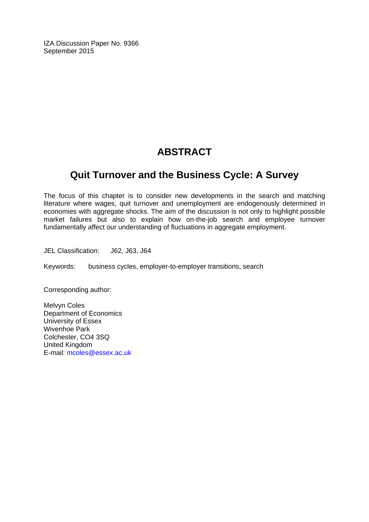IZA Discussion Paper No. 9366 September 2015

# **ABSTRACT**

# **Quit Turnover and the Business Cycle: A Survey**

The focus of this chapter is to consider new developments in the search and matching literature where wages, quit turnover and unemployment are endogenously determined in economies with aggregate shocks. The aim of the discussion is not only to highlight possible market failures but also to explain how on-the-job search and employee turnover fundamentally affect our understanding of fluctuations in aggregate employment.

JEL Classification: J62, J63, J64

Keywords: business cycles, employer-to-employer transitions, search

Corresponding author:

Melvyn Coles Department of Economics University of Essex Wivenhoe Park Colchester, CO4 3SQ United Kingdom E-mail: mcoles@essex.ac.uk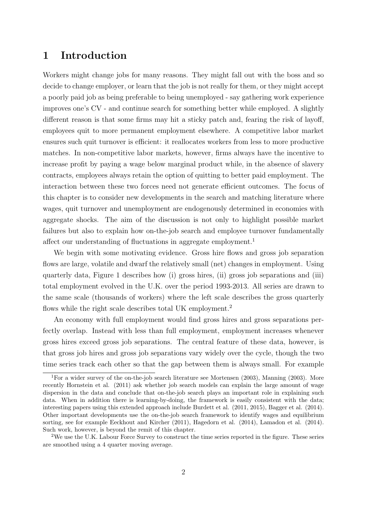# 1 Introduction

Workers might change jobs for many reasons. They might fall out with the boss and so decide to change employer, or learn that the job is not really for them, or they might accept a poorly paid job as being preferable to being unemployed - say gathering work experience improves one's CV - and continue search for something better while employed. A slightly different reason is that some firms may hit a sticky patch and, fearing the risk of layoff, employees quit to more permanent employment elsewhere. A competitive labor market ensures such quit turnover is efficient: it reallocates workers from less to more productive matches. In non-competitive labor markets, however, firms always have the incentive to increase profit by paying a wage below marginal product while, in the absence of slavery contracts, employees always retain the option of quitting to better paid employment. The interaction between these two forces need not generate efficient outcomes. The focus of this chapter is to consider new developments in the search and matching literature where wages, quit turnover and unemployment are endogenously determined in economies with aggregate shocks. The aim of the discussion is not only to highlight possible market failures but also to explain how on-the-job search and employee turnover fundamentally affect our understanding of fluctuations in aggregate employment.<sup>1</sup>

We begin with some motivating evidence. Gross hire flows and gross job separation flows are large, volatile and dwarf the relatively small (net) changes in employment. Using quarterly data, Figure 1 describes how (i) gross hires, (ii) gross job separations and (iii) total employment evolved in the U.K. over the period 1993-2013. All series are drawn to the same scale (thousands of workers) where the left scale describes the gross quarterly flows while the right scale describes total UK employment.<sup>2</sup>

An economy with full employment would find gross hires and gross separations perfectly overlap. Instead with less than full employment, employment increases whenever gross hires exceed gross job separations. The central feature of these data, however, is that gross job hires and gross job separations vary widely over the cycle, though the two time series track each other so that the gap between them is always small. For example

<sup>&</sup>lt;sup>1</sup>For a wider survey of the on-the-job search literature see Mortensen (2003), Manning (2003). More recently Hornstein et al. (2011) ask whether job search models can explain the large amount of wage dispersion in the data and conclude that on-the-job search plays an important role in explaining such data. When in addition there is learning-by-doing, the framework is easily consistent with the data; interesting papers using this extended approach include Burdett et al. (2011, 2015), Bagger et al. (2014). Other important developments use the on-the-job search framework to identify wages and equilibrium sorting, see for example Eeckhout and Kircher (2011), Hagedorn et al. (2014), Lamadon et al. (2014). Such work, however, is beyond the remit of this chapter.

<sup>&</sup>lt;sup>2</sup>We use the U.K. Labour Force Survey to construct the time series reported in the figure. These series are smoothed using a 4 quarter moving average.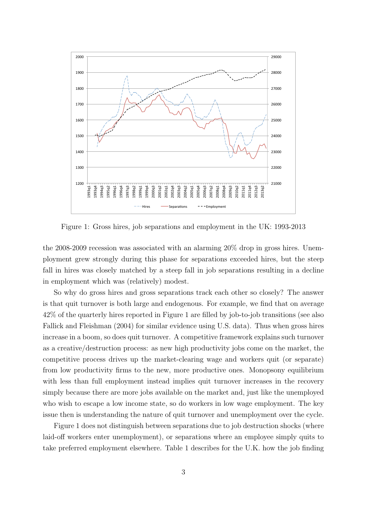

Figure 1: Gross hires, job separations and employment in the UK: 1993-2013

the 2008-2009 recession was associated with an alarming 20% drop in gross hires. Unemployment grew strongly during this phase for separations exceeded hires, but the steep fall in hires was closely matched by a steep fall in job separations resulting in a decline in employment which was (relatively) modest.

So why do gross hires and gross separations track each other so closely? The answer is that quit turnover is both large and endogenous. For example, we find that on average 42% of the quarterly hires reported in Figure 1 are filled by job-to-job transitions (see also Fallick and Fleishman (2004) for similar evidence using U.S. data). Thus when gross hires increase in a boom, so does quit turnover. A competitive framework explains such turnover as a creative/destruction process: as new high productivity jobs come on the market, the competitive process drives up the market-clearing wage and workers quit (or separate) from low productivity firms to the new, more productive ones. Monopsony equilibrium with less than full employment instead implies quit turnover increases in the recovery simply because there are more jobs available on the market and, just like the unemployed who wish to escape a low income state, so do workers in low wage employment. The key issue then is understanding the nature of quit turnover and unemployment over the cycle.

Figure 1 does not distinguish between separations due to job destruction shocks (where laid-off workers enter unemployment), or separations where an employee simply quits to take preferred employment elsewhere. Table 1 describes for the U.K. how the job finding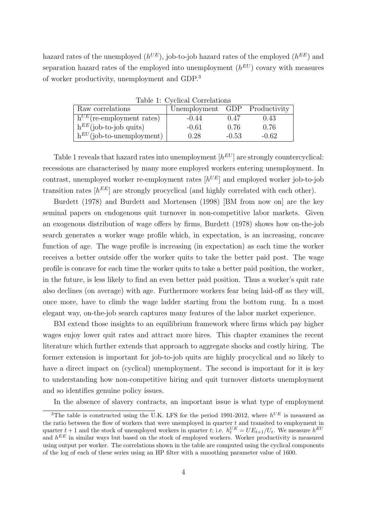hazard rates of the unemployed  $(h^{UE})$ , job-to-job hazard rates of the employed  $(h^{EE})$  and separation hazard rates of the employed into unemployment  $(h^{EU})$  covary with measures of worker productivity, unemployment and GDP.<sup>3</sup>

| Raw correlations               | Unemployment GDP Productivity |         |         |
|--------------------------------|-------------------------------|---------|---------|
| $h^{UE}$ (re-employment rates) | $-0.44$                       | 0.47    | 0.43    |
| $h^{EE}$ (job-to-job quits)    | $-0.61$                       | 0.76    | 0.76    |
| $h^{EU}$ (job-to-unemployment) | 0.28                          | $-0.53$ | $-0.62$ |

Table 1: Cyclical Correlations

Table 1 reveals that hazard rates into unemployment  $[h^{EU}]$  are strongly countercyclical: recessions are characterised by many more employed workers entering unemployment. In contrast, unemployed worker re-employment rates  $[h^{UE}]$  and employed worker job-to-job transition rates  $[h^{EE}]$  are strongly procyclical (and highly correlated with each other).

Burdett (1978) and Burdett and Mortensen (1998) [BM from now on] are the key seminal papers on endogenous quit turnover in non-competitive labor markets. Given an exogenous distribution of wage offers by firms, Burdett (1978) shows how on-the-job search generates a worker wage profile which, in expectation, is an increasing, concave function of age. The wage profile is increasing (in expectation) as each time the worker receives a better outside offer the worker quits to take the better paid post. The wage profile is concave for each time the worker quits to take a better paid position, the worker, in the future, is less likely to find an even better paid position. Thus a worker's quit rate also declines (on average) with age. Furthermore workers fear being laid-off as they will, once more, have to climb the wage ladder starting from the bottom rung. In a most elegant way, on-the-job search captures many features of the labor market experience.

BM extend those insights to an equilibrium framework where firms which pay higher wages enjoy lower quit rates and attract more hires. This chapter examines the recent literature which further extends that approach to aggregate shocks and costly hiring. The former extension is important for job-to-job quits are highly procyclical and so likely to have a direct impact on (cyclical) unemployment. The second is important for it is key to understanding how non-competitive hiring and quit turnover distorts unemployment and so identifies genuine policy issues.

In the absence of slavery contracts, an important issue is what type of employment

<sup>&</sup>lt;sup>3</sup>The table is constructed using the U.K. LFS for the period 1991-2012, where  $h^{UE}$  is measured as the ratio between the flow of workers that were unemployed in quarter  $t$  and transited to employment in quarter  $t + 1$  and the stock of unemployed workers in quarter t; i.e.  $h_t^{UE} = UE_{t+1}/U_t$ . We measure  $h^{EU}$ and  $h^{EE}$  in similar ways but based on the stock of employed workers. Worker productivity is measured using output per worker. The correlations shown in the table are computed using the cyclical components of the log of each of these series using an HP filter with a smoothing parameter value of 1600.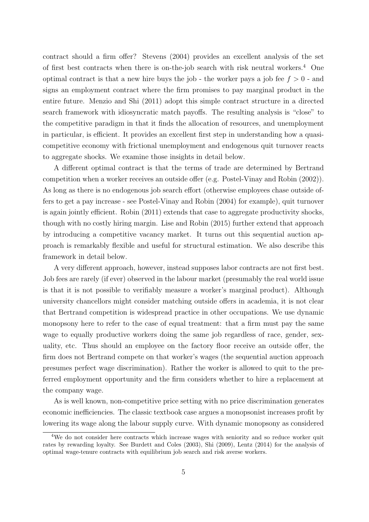contract should a firm offer? Stevens (2004) provides an excellent analysis of the set of first best contracts when there is on-the-job search with risk neutral workers.<sup>4</sup> One optimal contract is that a new hire buys the job - the worker pays a job fee  $f > 0$  - and signs an employment contract where the firm promises to pay marginal product in the entire future. Menzio and Shi (2011) adopt this simple contract structure in a directed search framework with idiosyncratic match payoffs. The resulting analysis is "close" to the competitive paradigm in that it finds the allocation of resources, and unemployment in particular, is efficient. It provides an excellent first step in understanding how a quasicompetitive economy with frictional unemployment and endogenous quit turnover reacts to aggregate shocks. We examine those insights in detail below.

A different optimal contract is that the terms of trade are determined by Bertrand competition when a worker receives an outside offer (e.g. Postel-Vinay and Robin (2002)). As long as there is no endogenous job search effort (otherwise employees chase outside offers to get a pay increase - see Postel-Vinay and Robin (2004) for example), quit turnover is again jointly efficient. Robin (2011) extends that case to aggregate productivity shocks, though with no costly hiring margin. Lise and Robin (2015) further extend that approach by introducing a competitive vacancy market. It turns out this sequential auction approach is remarkably flexible and useful for structural estimation. We also describe this framework in detail below.

A very different approach, however, instead supposes labor contracts are not first best. Job fees are rarely (if ever) observed in the labour market (presumably the real world issue is that it is not possible to verifiably measure a worker's marginal product). Although university chancellors might consider matching outside offers in academia, it is not clear that Bertrand competition is widespread practice in other occupations. We use dynamic monopsony here to refer to the case of equal treatment: that a firm must pay the same wage to equally productive workers doing the same job regardless of race, gender, sexuality, etc. Thus should an employee on the factory floor receive an outside offer, the firm does not Bertrand compete on that worker's wages (the sequential auction approach presumes perfect wage discrimination). Rather the worker is allowed to quit to the preferred employment opportunity and the firm considers whether to hire a replacement at the company wage.

As is well known, non-competitive price setting with no price discrimination generates economic inefficiencies. The classic textbook case argues a monopsonist increases profit by lowering its wage along the labour supply curve. With dynamic monopsony as considered

<sup>&</sup>lt;sup>4</sup>We do not consider here contracts which increase wages with seniority and so reduce worker quit rates by rewarding loyalty. See Burdett and Coles (2003), Shi (2009), Lentz (2014) for the analysis of optimal wage-tenure contracts with equilibrium job search and risk averse workers.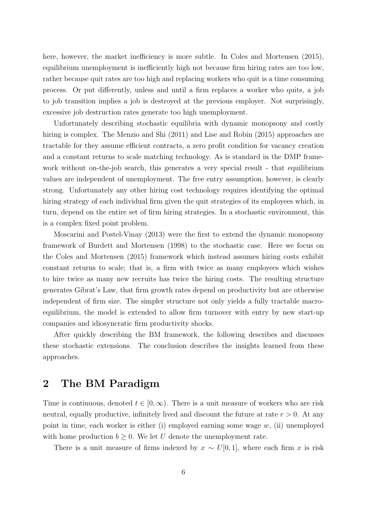here, however, the market inefficiency is more subtle. In Coles and Mortensen  $(2015)$ , equilibrium unemployment is inefficiently high not because firm hiring rates are too low, rather because quit rates are too high and replacing workers who quit is a time consuming process. Or put differently, unless and until a firm replaces a worker who quits, a job to job transition implies a job is destroyed at the previous employer. Not surprisingly, excessive job destruction rates generate too high unemployment.

Unfortunately describing stochastic equilibria with dynamic monopsony and costly hiring is complex. The Menzio and Shi (2011) and Lise and Robin (2015) approaches are tractable for they assume efficient contracts, a zero profit condition for vacancy creation and a constant returns to scale matching technology. As is standard in the DMP framework without on-the-job search, this generates a very special result - that equilibrium values are independent of unemployment. The free entry assumption, however, is clearly strong. Unfortunately any other hiring cost technology requires identifying the optimal hiring strategy of each individual firm given the quit strategies of its employees which, in turn, depend on the entire set of firm hiring strategies. In a stochastic environment, this is a complex fixed point problem.

Moscarini and Postel-Vinay (2013) were the first to extend the dynamic monopsony framework of Burdett and Mortensen (1998) to the stochastic case. Here we focus on the Coles and Mortensen (2015) framework which instead assumes hiring costs exhibit constant returns to scale; that is, a firm with twice as many employees which wishes to hire twice as many new recruits has twice the hiring costs. The resulting structure generates Gibrat's Law, that firm growth rates depend on productivity but are otherwise independent of firm size. The simpler structure not only yields a fully tractable macroequilibrium, the model is extended to allow firm turnover with entry by new start-up companies and idiosyncratic firm productivity shocks.

After quickly describing the BM framework, the following describes and discusses these stochastic extensions. The conclusion describes the insights learned from these approaches.

# 2 The BM Paradigm

Time is continuous, denoted  $t \in [0,\infty)$ . There is a unit measure of workers who are risk neutral, equally productive, infinitely lived and discount the future at rate  $r > 0$ . At any point in time, each worker is either (i) employed earning some wage  $w$ , (ii) unemployed with home production  $b \geq 0$ . We let U denote the unemployment rate.

There is a unit measure of firms indexed by  $x \sim U[0, 1]$ , where each firm x is risk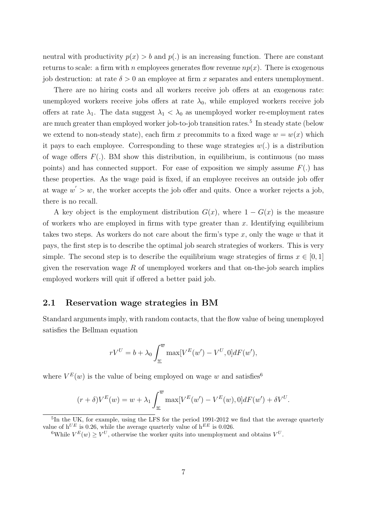neutral with productivity  $p(x) > b$  and  $p(.)$  is an increasing function. There are constant returns to scale: a firm with n employees generates flow revenue  $np(x)$ . There is exogenous job destruction: at rate  $\delta > 0$  an employee at firm x separates and enters unemployment.

There are no hiring costs and all workers receive job offers at an exogenous rate: unemployed workers receive jobs offers at rate  $\lambda_0$ , while employed workers receive job offers at rate  $\lambda_1$ . The data suggest  $\lambda_1 < \lambda_0$  as unemployed worker re-employment rates are much greater than employed worker job-to-job transition rates.<sup>5</sup> In steady state (below we extend to non-steady state), each firm x precommits to a fixed wage  $w = w(x)$  which it pays to each employee. Corresponding to these wage strategies  $w(.)$  is a distribution of wage offers  $F(.)$ . BM show this distribution, in equilibrium, is continuous (no mass points) and has connected support. For ease of exposition we simply assume  $F(.)$  has these properties. As the wage paid is fixed, if an employee receives an outside job offer at wage  $w' > w$ , the worker accepts the job offer and quits. Once a worker rejects a job, there is no recall.

A key object is the employment distribution  $G(x)$ , where  $1 - G(x)$  is the measure of workers who are employed in firms with type greater than  $x$ . Identifying equilibrium takes two steps. As workers do not care about the firm's type  $x$ , only the wage  $w$  that it pays, the first step is to describe the optimal job search strategies of workers. This is very simple. The second step is to describe the equilibrium wage strategies of firms  $x \in [0,1]$ given the reservation wage  $R$  of unemployed workers and that on-the-job search implies employed workers will quit if offered a better paid job.

#### 2.1 Reservation wage strategies in BM

Standard arguments imply, with random contacts, that the flow value of being unemployed satisfies the Bellman equation

$$
rV^U = b + \lambda_0 \int_{\underline{w}}^{\overline{w}} \max[V^E(w') - V^U, 0] dF(w'),
$$

where  $V^{E}(w)$  is the value of being employed on wage w and satisfies<sup>6</sup>

$$
(r+\delta)V^{E}(w) = w + \lambda_1 \int_{\underline{w}}^{\overline{w}} \max[V^{E}(w') - V^{E}(w), 0] dF(w') + \delta V^{U}.
$$

<sup>5</sup>In the UK, for example, using the LFS for the period 1991-2012 we find that the average quarterly value of  $h^{UE}$  is 0.26, while the average quarterly value of  $h^{EE}$  is 0.026.

<sup>&</sup>lt;sup>6</sup>While  $V^{E}(w) \geq V^{U}$ , otherwise the worker quits into unemployment and obtains  $V^{U}$ .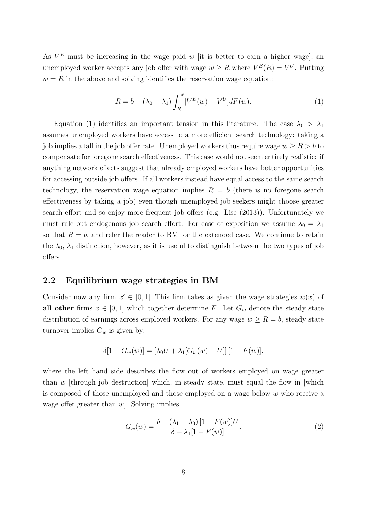As  $V^E$  must be increasing in the wage paid w [it is better to earn a higher wage], an unemployed worker accepts any job offer with wage  $w \geq R$  where  $V^{E}(R) = V^{U}$ . Putting  $w = R$  in the above and solving identifies the reservation wage equation:

$$
R = b + (\lambda_0 - \lambda_1) \int_R^{\overline{w}} [V^E(w) - V^U] dF(w).
$$
 (1)

Equation (1) identifies an important tension in this literature. The case  $\lambda_0 > \lambda_1$ assumes unemployed workers have access to a more efficient search technology: taking a job implies a fall in the job offer rate. Unemployed workers thus require wage  $w \geq R > b$  to compensate for foregone search effectiveness. This case would not seem entirely realistic: if anything network effects suggest that already employed workers have better opportunities for accessing outside job offers. If all workers instead have equal access to the same search technology, the reservation wage equation implies  $R = b$  (there is no foregone search effectiveness by taking a job) even though unemployed job seekers might choose greater search effort and so enjoy more frequent job offers (e.g. Lise (2013)). Unfortunately we must rule out endogenous job search effort. For ease of exposition we assume  $\lambda_0 = \lambda_1$ so that  $R = b$ , and refer the reader to BM for the extended case. We continue to retain the  $\lambda_0$ ,  $\lambda_1$  distinction, however, as it is useful to distinguish between the two types of job offers.

#### 2.2 Equilibrium wage strategies in BM

Consider now any firm  $x' \in [0, 1]$ . This firm takes as given the wage strategies  $w(x)$  of all other firms  $x \in [0,1]$  which together determine F. Let  $G_w$  denote the steady state distribution of earnings across employed workers. For any wage  $w \ge R = b$ , steady state turnover implies  $G_w$  is given by:

$$
\delta[1 - G_w(w)] = [\lambda_0 U + \lambda_1[G_w(w) - U]] [1 - F(w)],
$$

where the left hand side describes the flow out of workers employed on wage greater than  $w$  [through job destruction] which, in steady state, must equal the flow in [which is composed of those unemployed and those employed on a wage below  $w$  who receive a wage offer greater than  $w$ . Solving implies

$$
G_w(w) = \frac{\delta + (\lambda_1 - \lambda_0) [1 - F(w)] U}{\delta + \lambda_1 [1 - F(w)]}.
$$
 (2)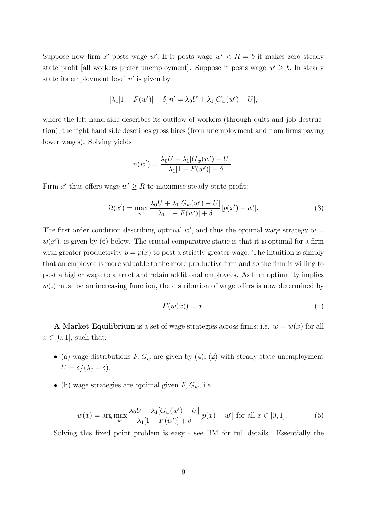Suppose now firm x' posts wage w'. If it posts wage  $w' < R = b$  it makes zero steady state profit [all workers prefer unemployment]. Suppose it posts wage  $w' \geq b$ . In steady state its employment level  $n'$  is given by

$$
[\lambda_1[1 - F(w')] + \delta] n' = \lambda_0 U + \lambda_1 [G_w(w') - U],
$$

where the left hand side describes its outflow of workers (through quits and job destruction), the right hand side describes gross hires (from unemployment and from firms paying lower wages). Solving yields

$$
n(w') = \frac{\lambda_0 U + \lambda_1 [G_w(w') - U]}{\lambda_1 [1 - F(w')] + \delta}.
$$

Firm x' thus offers wage  $w' \geq R$  to maximise steady state profit:

$$
\Omega(x') = \max_{w'} \frac{\lambda_0 U + \lambda_1 [G_w(w') - U]}{\lambda_1 [1 - F(w')] + \delta} [p(x') - w'].
$$
\n(3)

The first order condition describing optimal  $w'$ , and thus the optimal wage strategy  $w =$  $w(x')$ , is given by (6) below. The crucial comparative static is that it is optimal for a firm with greater productivity  $p = p(x)$  to post a strictly greater wage. The intuition is simply that an employee is more valuable to the more productive firm and so the firm is willing to post a higher wage to attract and retain additional employees. As firm optimality implies  $w(.)$  must be an increasing function, the distribution of wage offers is now determined by

$$
F(w(x)) = x.\t\t(4)
$$

A Market Equilibrium is a set of wage strategies across firms; i.e.  $w = w(x)$  for all  $x \in [0, 1]$ , such that:

- (a) wage distributions  $F, G_w$  are given by (4), (2) with steady state unemployment  $U = \delta/(\lambda_0 + \delta),$
- (b) wage strategies are optimal given  $F, G_w$ ; i.e.

$$
w(x) = \arg \max_{w'} \frac{\lambda_0 U + \lambda_1 [G_w(w') - U]}{\lambda_1 [1 - F(w')] + \delta} [p(x) - w'] \text{ for all } x \in [0, 1].
$$
 (5)

Solving this fixed point problem is easy - see BM for full details. Essentially the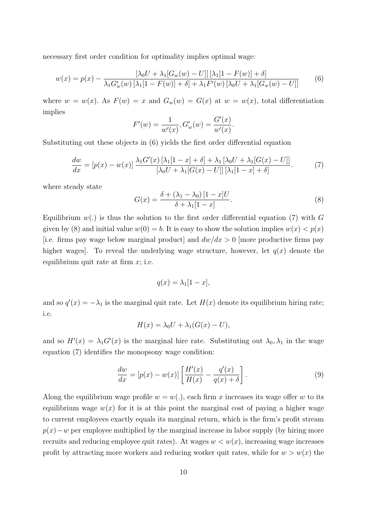necessary first order condition for optimality implies optimal wage:

$$
w(x) = p(x) - \frac{[\lambda_0 U + \lambda_1 [G_w(w) - U]] [\lambda_1 [1 - F(w)] + \delta]}{\lambda_1 G'_w(w) [\lambda_1 [1 - F(w)] + \delta] + \lambda_1 F'(w) [\lambda_0 U + \lambda_1 [G_w(w) - U]]}
$$
(6)

where  $w = w(x)$ . As  $F(w) = x$  and  $G_w(w) = G(x)$  at  $w = w(x)$ , total differentiation implies

$$
F'(w) = \frac{1}{w'(x)}, G'_w(w) = \frac{G'(x)}{w'(x)}.
$$

Substituting out these objects in (6) yields the first order differential equation

$$
\frac{dw}{dx} = [p(x) - w(x)] \frac{\lambda_1 G'(x) [\lambda_1 [1 - x] + \delta] + \lambda_1 [\lambda_0 U + \lambda_1 [G(x) - U]]}{[\lambda_0 U + \lambda_1 [G(x) - U]] [\lambda_1 [1 - x] + \delta]}.
$$
(7)

where steady state

$$
G(x) = \frac{\delta + (\lambda_1 - \lambda_0) [1 - x] U}{\delta + \lambda_1 [1 - x]}.
$$
\n
$$
(8)
$$

Equilibrium  $w(.)$  is thus the solution to the first order differential equation (7) with G given by (8) and initial value  $w(0) = b$ . It is easy to show the solution implies  $w(x) < p(x)$ [i.e. firms pay wage below marginal product] and  $dw/dx > 0$  [more productive firms pay higher wages. To reveal the underlying wage structure, however, let  $q(x)$  denote the equilibrium quit rate at firm  $x$ ; i.e.

$$
q(x) = \lambda_1[1-x],
$$

and so  $q'(x) = -\lambda_1$  is the marginal quit rate. Let  $H(x)$  denote its equilibrium hiring rate; i.e.

$$
H(x) = \lambda_0 U + \lambda_1 (G(x) - U),
$$

and so  $H'(x) = \lambda_1 G'(x)$  is the marginal hire rate. Substituting out  $\lambda_0, \lambda_1$  in the wage equation (7) identifies the monopsony wage condition:

$$
\frac{dw}{dx} = [p(x) - w(x)] \left[ \frac{H'(x)}{H(x)} - \frac{q'(x)}{q(x) + \delta} \right].
$$
\n(9)

Along the equilibrium wage profile  $w = w(.)$ , each firm x increases its wage offer w to its equilibrium wage  $w(x)$  for it is at this point the marginal cost of paying a higher wage to current employees exactly equals its marginal return, which is the firm's profit stream  $p(x)-w$  per employee multiplied by the marginal increase in labor supply (by hiring more recruits and reducing employee quit rates). At wages  $w < w(x)$ , increasing wage increases profit by attracting more workers and reducing worker quit rates, while for  $w > w(x)$  the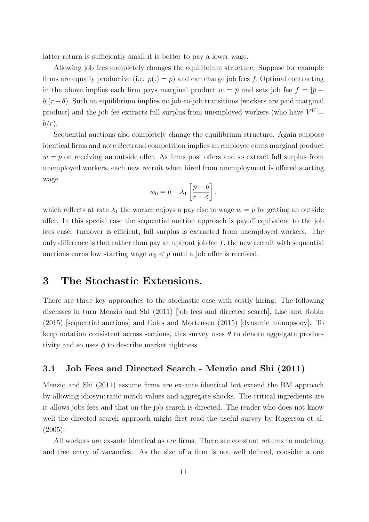latter return is sufficiently small it is better to pay a lower wage.

Allowing job fees completely changes the equilibrium structure. Suppose for example firms are equally productive (i.e.  $p(.) = \overline{p}$ ) and can charge job fees f. Optimal contracting in the above implies each firm pays marginal product  $w = \overline{p}$  and sets job fee  $f = [\overline{p}$  $b|(r+\delta)$ . Such an equilibrium implies no job-to-job transitions [workers are paid marginal] product] and the job fee extracts full surplus from unemployed workers (who have  $V^U$  =  $b/r$ ).

Sequential auctions also completely change the equilibrium structure. Again suppose identical firms and note Bertrand competition implies an employee earns marginal product  $w = \overline{p}$  on receiving an outside offer. As firms post offers and so extract full surplus from unemployed workers, each new recruit when hired from unemployment is offered starting wage

$$
w_0 = b - \lambda_1 \left[ \frac{\overline{p} - b}{r + \delta} \right],
$$

which reflects at rate  $\lambda_1$  the worker enjoys a pay rise to wage  $w = \overline{p}$  by getting an outside offer. In this special case the sequential auction approach is payoff equivalent to the job fees case: turnover is efficient, full surplus is extracted from unemployed workers. The only difference is that rather than pay an upfront job fee  $f$ , the new recruit with sequential auctions earns low starting wage  $w_0 < \overline{p}$  until a job offer is received.

# 3 The Stochastic Extensions.

There are three key approaches to the stochastic case with costly hiring. The following discusses in turn Menzio and Shi (2011) [job fees and directed search], Lise and Robin (2015) [sequential auctions] and Coles and Mortensen (2015) [dynamic monopsony]. To keep notation consistent across sections, this survey uses  $\theta$  to denote aggregate productivity and so uses  $\phi$  to describe market tightness.

#### 3.1 Job Fees and Directed Search - Menzio and Shi (2011)

Menzio and Shi (2011) assume firms are ex-ante identical but extend the BM approach by allowing idiosyncratic match values and aggregate shocks. The critical ingredients are it allows jobs fees and that on-the-job search is directed. The reader who does not know well the directed search approach might first read the useful survey by Rogerson et al. (2005).

All workers are ex-ante identical as are firms. There are constant returns to matching and free entry of vacancies. As the size of a firm is not well defined, consider a one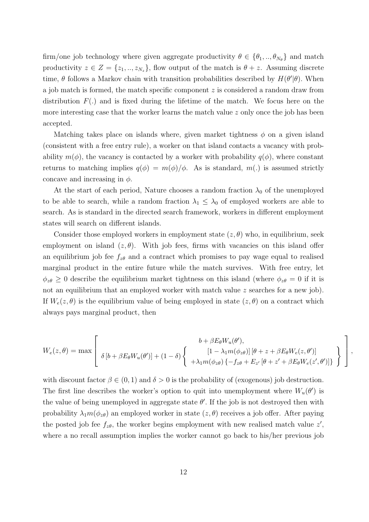firm/one job technology where given aggregate productivity  $\theta \in \{\theta_1, ..., \theta_{N_{\theta}}\}\$ and match productivity  $z \in Z = \{z_1, ..., z_{N_z}\}\$ , flow output of the match is  $\theta + z$ . Assuming discrete time,  $\theta$  follows a Markov chain with transition probabilities described by  $H(\theta'|\theta)$ . When a job match is formed, the match specific component z is considered a random draw from distribution  $F(.)$  and is fixed during the lifetime of the match. We focus here on the more interesting case that the worker learns the match value  $z$  only once the job has been accepted.

Matching takes place on islands where, given market tightness  $\phi$  on a given island (consistent with a free entry rule), a worker on that island contacts a vacancy with probability  $m(\phi)$ , the vacancy is contacted by a worker with probability  $q(\phi)$ , where constant returns to matching implies  $q(\phi) = m(\phi)/\phi$ . As is standard, m(.) is assumed strictly concave and increasing in  $\phi$ .

At the start of each period, Nature chooses a random fraction  $\lambda_0$  of the unemployed to be able to search, while a random fraction  $\lambda_1 \leq \lambda_0$  of employed workers are able to search. As is standard in the directed search framework, workers in different employment states will search on different islands.

Consider those employed workers in employment state  $(z, \theta)$  who, in equilibrium, seek employment on island  $(z, \theta)$ . With job fees, firms with vacancies on this island offer an equilibrium job fee  $f_{z\theta}$  and a contract which promises to pay wage equal to realised marginal product in the entire future while the match survives. With free entry, let  $\phi_{z\theta} \geq 0$  describe the equilibrium market tightness on this island (where  $\phi_{z\theta} = 0$  if it is not an equilibrium that an employed worker with match value z searches for a new job). If  $W_e(z, \theta)$  is the equilibrium value of being employed in state  $(z, \theta)$  on a contract which always pays marginal product, then

$$
W_e(z,\theta) = \max \left[ \begin{array}{c} b + \beta E_{\theta} W_u(\theta'), \\ \delta \left[ b + \beta E_{\theta} W_u(\theta') \right] + (1 - \delta) \left\{ \begin{array}{c} \left[ 1 - \lambda_1 m(\phi_{z\theta}) \right] \left[ \theta + z + \beta E_{\theta} W_e(z, \theta') \right] \\ + \lambda_1 m(\phi_{z\theta}) \left\{ -f_{z\theta} + E_{z'} \left[ \theta + z' + \beta E_{\theta} W_e(z', \theta') \right] \right\} \end{array} \right\} \right],
$$

with discount factor  $\beta \in (0, 1)$  and  $\delta > 0$  is the probability of (exogenous) job destruction. The first line describes the worker's option to quit into unemployment where  $W_u(\theta')$  is the value of being unemployed in aggregate state  $\theta'$ . If the job is not destroyed then with probability  $\lambda_1 m(\phi_{z\theta})$  an employed worker in state  $(z, \theta)$  receives a job offer. After paying the posted job fee  $f_{z\theta}$ , the worker begins employment with new realised match value  $z'$ , where a no recall assumption implies the worker cannot go back to his/her previous job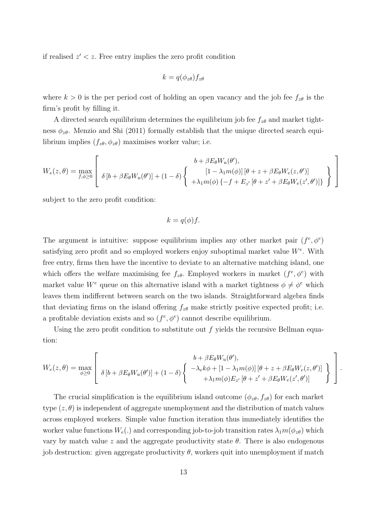if realised  $z' < z$ . Free entry implies the zero profit condition

$$
k = q(\phi_{z\theta})f_{z\theta}
$$

where  $k > 0$  is the per period cost of holding an open vacancy and the job fee  $f_{z\theta}$  is the firm's profit by filling it.

A directed search equilibrium determines the equilibrium job fee  $f_{z\theta}$  and market tightness  $\phi_{z\theta}$ . Menzio and Shi (2011) formally establish that the unique directed search equilibrium implies  $(f_{z\theta}, \phi_{z\theta})$  maximises worker value; i.e.

$$
W_e(z,\theta) = \max_{f,\phi \ge 0} \left[ \begin{array}{c} b + \beta E_{\theta} W_u(\theta'), \\ \delta \left[ b + \beta E_{\theta} W_u(\theta') \right] + (1 - \delta) \left\{ \begin{array}{c} \left[ 1 - \lambda_1 m(\phi) \right] \left[ \theta + z + \beta E_{\theta} W_e(z,\theta') \right] \\ + \lambda_1 m(\phi) \left\{ - f + E_{z'} \left[ \theta + z' + \beta E_{\theta} W_e(z',\theta') \right] \right\} \end{array} \right\} \right]
$$

subject to the zero profit condition:

$$
k = q(\phi)f.
$$

The argument is intuitive: suppose equilibrium implies any other market pair  $(f^e, \phi^e)$ satisfying zero profit and so employed workers enjoy suboptimal market value  $W^e$ . With free entry, firms then have the incentive to deviate to an alternative matching island, one which offers the welfare maximising fee  $f_{z\theta}$ . Employed workers in market  $(f^e, \phi^e)$  with market value W<sup>e</sup> queue on this alternative island with a market tightness  $\phi \neq \phi^e$  which leaves them indifferent between search on the two islands. Straightforward algebra finds that deviating firms on the island offering  $f_{z\theta}$  make strictly positive expected profit; i.e. a profitable deviation exists and so  $(f^e, \phi^e)$  cannot describe equilibrium.

Using the zero profit condition to substitute out f yields the recursive Bellman equation:

$$
W_e(z,\theta) = \max_{\phi \ge 0} \left[ \begin{array}{c} b + \beta E_{\theta} W_u(\theta'), \\ \delta \left[ b + \beta E_{\theta} W_u(\theta') \right] + (1 - \delta) \left\{ \begin{array}{c} -\lambda_e k\phi + \left[ 1 - \lambda_1 m(\phi) \right] \left[ \theta + z + \beta E_{\theta} W_e(z,\theta') \right] \\ +\lambda_1 m(\phi) E_{z'} \left[ \theta + z' + \beta E_{\theta} W_e(z',\theta') \right] \end{array} \right\} \right].
$$

The crucial simplification is the equilibrium island outcome  $(\phi_{z\theta}, f_{z\theta})$  for each market type  $(z, \theta)$  is independent of aggregate unemployment and the distribution of match values across employed workers. Simple value function iteration thus immediately identifies the worker value functions  $W_e(.)$  and corresponding job-to-job transition rates  $\lambda_1 m(\phi_{z\theta})$  which vary by match value z and the aggregate productivity state  $\theta$ . There is also endogenous job destruction: given aggregate productivity  $\theta$ , workers quit into unemployment if match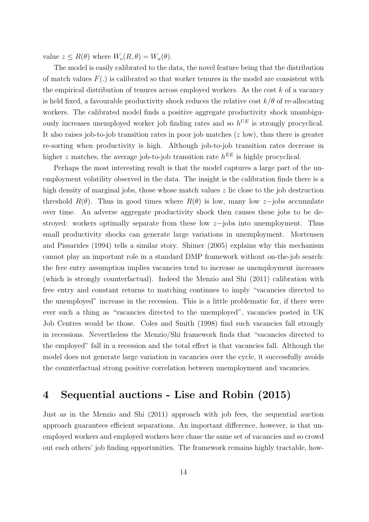value  $z \leq R(\theta)$  where  $W_e(R, \theta) = W_u(\theta)$ .

The model is easily calibrated to the data, the novel feature being that the distribution of match values  $F(.)$  is calibrated so that worker tenures in the model are consistent with the empirical distribution of tenures across employed workers. As the cost  $k$  of a vacancy is held fixed, a favourable productivity shock reduces the relative cost  $k/\theta$  of re-allocating workers. The calibrated model finds a positive aggregate productivity shock unambiguously increases unemployed worker job finding rates and so  $h^{UE}$  is strongly procyclical. It also raises job-to-job transition rates in poor job matches  $(z \text{ low})$ , thus there is greater re-sorting when productivity is high. Although job-to-job transition rates decrease in higher z matches, the average job-to-job transition rate  $h^{EE}$  is highly procyclical.

Perhaps the most interesting result is that the model captures a large part of the unemployment volatility observed in the data. The insight is the calibration finds there is a high density of marginal jobs, those whose match values z lie close to the job destruction threshold  $R(\theta)$ . Thus in good times where  $R(\theta)$  is low, many low z-jobs accumulate over time. An adverse aggregate productivity shock then causes these jobs to be destroyed: workers optimally separate from these low z−jobs into unemployment. Thus small productivity shocks can generate large variations in unemployment. Mortensen and Pissarides (1994) tells a similar story. Shimer (2005) explains why this mechanism cannot play an important role in a standard DMP framework without on-the-job search: the free entry assumption implies vacancies tend to increase as unemployment increases (which is strongly counterfactual). Indeed the Menzio and Shi (2011) calibration with free entry and constant returns to matching continues to imply "vacancies directed to the unemployed" increase in the recession. This is a little problematic for, if there were ever such a thing as "vacancies directed to the unemployed", vacancies posted in UK Job Centres would be those. Coles and Smith (1998) find such vacancies fall strongly in recessions. Nevertheless the Menzio/Shi framework finds that "vacancies directed to the employed" fall in a recession and the total effect is that vacancies fall. Although the model does not generate large variation in vacancies over the cycle, it successfully avoids the counterfactual strong positive correlation between unemployment and vacancies.

# 4 Sequential auctions - Lise and Robin (2015)

Just as in the Menzio and Shi (2011) approach with job fees, the sequential auction approach guarantees efficient separations. An important difference, however, is that unemployed workers and employed workers here chase the same set of vacancies and so crowd out each others' job finding opportunities. The framework remains highly tractable, how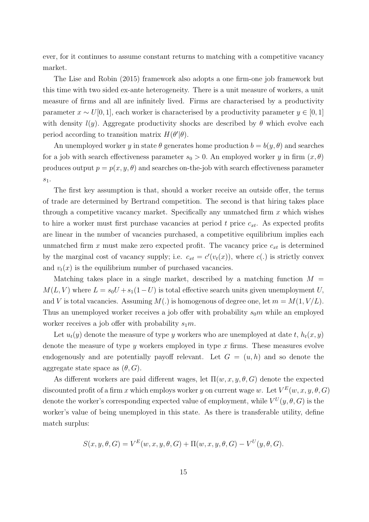ever, for it continues to assume constant returns to matching with a competitive vacancy market.

The Lise and Robin (2015) framework also adopts a one firm-one job framework but this time with two sided ex-ante heterogeneity. There is a unit measure of workers, a unit measure of firms and all are infinitely lived. Firms are characterised by a productivity parameter  $x \sim U[0, 1]$ , each worker is characterised by a productivity parameter  $y \in [0, 1]$ with density  $l(y)$ . Aggregate productivity shocks are described by  $\theta$  which evolve each period according to transition matrix  $H(\theta'|\theta)$ .

An unemployed worker y in state  $\theta$  generates home production  $b = b(y, \theta)$  and searches for a job with search effectiveness parameter  $s_0 > 0$ . An employed worker y in firm  $(x, \theta)$ produces output  $p = p(x, y, \theta)$  and searches on-the-job with search effectiveness parameter  $s_1$ .

The first key assumption is that, should a worker receive an outside offer, the terms of trade are determined by Bertrand competition. The second is that hiring takes place through a competitive vacancy market. Specifically any unmatched firm  $x$  which wishes to hire a worker must first purchase vacancies at period  $t$  price  $c_{xt}$ . As expected profits are linear in the number of vacancies purchased, a competitive equilibrium implies each unmatched firm x must make zero expected profit. The vacancy price  $c_{xt}$  is determined by the marginal cost of vacancy supply; i.e.  $c_{xt} = c'(v_t(x))$ , where  $c(.)$  is strictly convex and  $v_t(x)$  is the equilibrium number of purchased vacancies.

Matching takes place in a single market, described by a matching function  $M =$  $M(L, V)$  where  $L = s_0 U + s_1(1-U)$  is total effective search units given unemployment U, and V is total vacancies. Assuming  $M(.)$  is homogenous of degree one, let  $m = M(1, V/L)$ . Thus an unemployed worker receives a job offer with probability  $s_0m$  while an employed worker receives a job offer with probability  $s_1m$ .

Let  $u_t(y)$  denote the measure of type y workers who are unemployed at date t,  $h_t(x, y)$ denote the measure of type  $y$  workers employed in type  $x$  firms. These measures evolve endogenously and are potentially payoff relevant. Let  $G = (u, h)$  and so denote the aggregate state space as  $(\theta, G)$ .

As different workers are paid different wages, let  $\Pi(w, x, y, \theta, G)$  denote the expected discounted profit of a firm x which employs worker y on current wage w. Let  $V^{E}(w, x, y, \theta, G)$ denote the worker's corresponding expected value of employment, while  $V^U(y, \theta, G)$  is the worker's value of being unemployed in this state. As there is transferable utility, define match surplus:

$$
S(x, y, \theta, G) = V^{E}(w, x, y, \theta, G) + \Pi(w, x, y, \theta, G) - V^{U}(y, \theta, G).
$$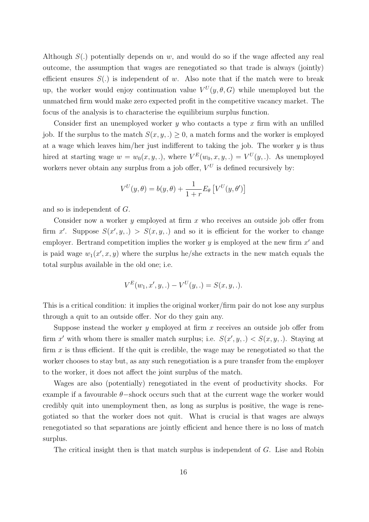Although  $S(.)$  potentially depends on w, and would do so if the wage affected any real outcome, the assumption that wages are renegotiated so that trade is always (jointly) efficient ensures  $S(.)$  is independent of w. Also note that if the match were to break up, the worker would enjoy continuation value  $V^U(y, \theta, G)$  while unemployed but the unmatched firm would make zero expected profit in the competitive vacancy market. The focus of the analysis is to characterise the equilibrium surplus function.

Consider first an unemployed worker  $y$  who contacts a type  $x$  firm with an unfilled job. If the surplus to the match  $S(x, y,.) \geq 0$ , a match forms and the worker is employed at a wage which leaves him/her just indifferent to taking the job. The worker  $y$  is thus hired at starting wage  $w = w_0(x, y, \cdot)$ , where  $V^E(w_0, x, y, \cdot) = V^U(y, \cdot)$ . As unemployed workers never obtain any surplus from a job offer,  $V^U$  is defined recursively by:

$$
V^U(y, \theta) = b(y, \theta) + \frac{1}{1+r} E_{\theta} \left[ V^U(y, \theta') \right]
$$

and so is independent of G.

Consider now a worker y employed at firm  $x$  who receives an outside job offer from firm x'. Suppose  $S(x', y,.) > S(x, y,.)$  and so it is efficient for the worker to change employer. Bertrand competition implies the worker  $y$  is employed at the new firm  $x'$  and is paid wage  $w_1(x', x, y)$  where the surplus he/she extracts in the new match equals the total surplus available in the old one; i.e.

$$
V^{E}(w_1, x', y, .) - V^{U}(y, .) = S(x, y, .).
$$

This is a critical condition: it implies the original worker/firm pair do not lose any surplus through a quit to an outside offer. Nor do they gain any.

Suppose instead the worker  $y$  employed at firm  $x$  receives an outside job offer from firm x' with whom there is smaller match surplus; i.e.  $S(x', y, .) < S(x, y, .)$ . Staying at firm  $x$  is thus efficient. If the quit is credible, the wage may be renegotiated so that the worker chooses to stay but, as any such renegotiation is a pure transfer from the employer to the worker, it does not affect the joint surplus of the match.

Wages are also (potentially) renegotiated in the event of productivity shocks. For example if a favourable  $\theta$ -shock occurs such that at the current wage the worker would credibly quit into unemployment then, as long as surplus is positive, the wage is renegotiated so that the worker does not quit. What is crucial is that wages are always renegotiated so that separations are jointly efficient and hence there is no loss of match surplus.

The critical insight then is that match surplus is independent of G. Lise and Robin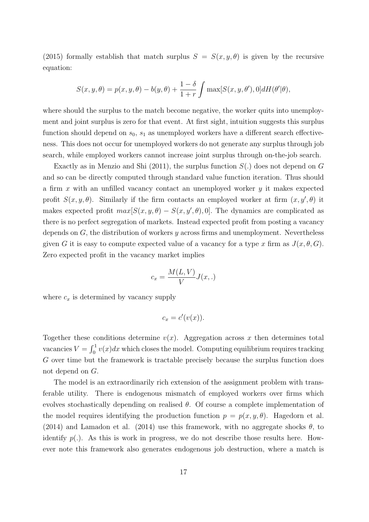(2015) formally establish that match surplus  $S = S(x, y, \theta)$  is given by the recursive equation:

$$
S(x, y, \theta) = p(x, y, \theta) - b(y, \theta) + \frac{1 - \delta}{1 + r} \int \max[S(x, y, \theta'), 0] dH(\theta'|\theta),
$$

where should the surplus to the match become negative, the worker quits into unemployment and joint surplus is zero for that event. At first sight, intuition suggests this surplus function should depend on  $s_0$ ,  $s_1$  as unemployed workers have a different search effectiveness. This does not occur for unemployed workers do not generate any surplus through job search, while employed workers cannot increase joint surplus through on-the-job search.

Exactly as in Menzio and Shi (2011), the surplus function  $S(.)$  does not depend on G and so can be directly computed through standard value function iteration. Thus should a firm  $x$  with an unfilled vacancy contact an unemployed worker  $y$  it makes expected profit  $S(x, y, \theta)$ . Similarly if the firm contacts an employed worker at firm  $(x, y', \theta)$  it makes expected profit  $max[S(x, y, \theta) - S(x, y', \theta), 0]$ . The dynamics are complicated as there is no perfect segregation of markets. Instead expected profit from posting a vacancy depends on  $G$ , the distribution of workers y across firms and unemployment. Nevertheless given G it is easy to compute expected value of a vacancy for a type x firm as  $J(x, \theta, G)$ . Zero expected profit in the vacancy market implies

$$
c_x = \frac{M(L, V)}{V} J(x, .)
$$

where  $c_x$  is determined by vacancy supply

$$
c_x = c'(v(x)).
$$

Together these conditions determine  $v(x)$ . Aggregation across x then determines total vacancies  $V = \int_0^1 v(x)dx$  which closes the model. Computing equilibrium requires tracking G over time but the framework is tractable precisely because the surplus function does not depend on G.

The model is an extraordinarily rich extension of the assignment problem with transferable utility. There is endogenous mismatch of employed workers over firms which evolves stochastically depending on realised  $\theta$ . Of course a complete implementation of the model requires identifying the production function  $p = p(x, y, \theta)$ . Hagedorn et al. (2014) and Lamadon et al. (2014) use this framework, with no aggregate shocks  $\theta$ , to identify  $p(.)$ . As this is work in progress, we do not describe those results here. However note this framework also generates endogenous job destruction, where a match is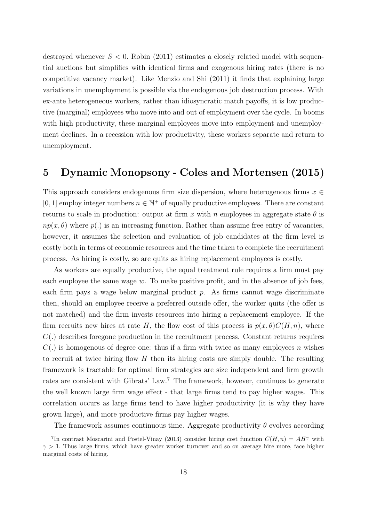destroyed whenever  $S < 0$ . Robin (2011) estimates a closely related model with sequential auctions but simplifies with identical firms and exogenous hiring rates (there is no competitive vacancy market). Like Menzio and Shi (2011) it finds that explaining large variations in unemployment is possible via the endogenous job destruction process. With ex-ante heterogeneous workers, rather than idiosyncratic match payoffs, it is low productive (marginal) employees who move into and out of employment over the cycle. In booms with high productivity, these marginal employees move into employment and unemployment declines. In a recession with low productivity, these workers separate and return to unemployment.

# 5 Dynamic Monopsony - Coles and Mortensen (2015)

This approach considers endogenous firm size dispersion, where heterogenous firms  $x \in$ [0, 1] employ integer numbers  $n \in \mathbb{N}^+$  of equally productive employees. There are constant returns to scale in production: output at firm x with n employees in aggregate state  $\theta$  is  $np(x, \theta)$  where  $p(.)$  is an increasing function. Rather than assume free entry of vacancies, however, it assumes the selection and evaluation of job candidates at the firm level is costly both in terms of economic resources and the time taken to complete the recruitment process. As hiring is costly, so are quits as hiring replacement employees is costly.

As workers are equally productive, the equal treatment rule requires a firm must pay each employee the same wage  $w$ . To make positive profit, and in the absence of job fees, each firm pays a wage below marginal product  $p$ . As firms cannot wage discriminate then, should an employee receive a preferred outside offer, the worker quits (the offer is not matched) and the firm invests resources into hiring a replacement employee. If the firm recruits new hires at rate H, the flow cost of this process is  $p(x, \theta) C(H, n)$ , where  $C(.)$  describes foregone production in the recruitment process. Constant returns requires  $C(.)$  is homogenous of degree one: thus if a firm with twice as many employees n wishes to recruit at twice hiring flow  $H$  then its hiring costs are simply double. The resulting framework is tractable for optimal firm strategies are size independent and firm growth rates are consistent with Gibrats' Law.<sup>7</sup> The framework, however, continues to generate the well known large firm wage effect - that large firms tend to pay higher wages. This correlation occurs as large firms tend to have higher productivity (it is why they have grown large), and more productive firms pay higher wages.

The framework assumes continuous time. Aggregate productivity  $\theta$  evolves according

<sup>&</sup>lt;sup>7</sup>In contrast Moscarini and Postel-Vinay (2013) consider hiring cost function  $C(H, n) = AH^{\gamma}$  with  $\gamma > 1$ . Thus large firms, which have greater worker turnover and so on average hire more, face higher marginal costs of hiring.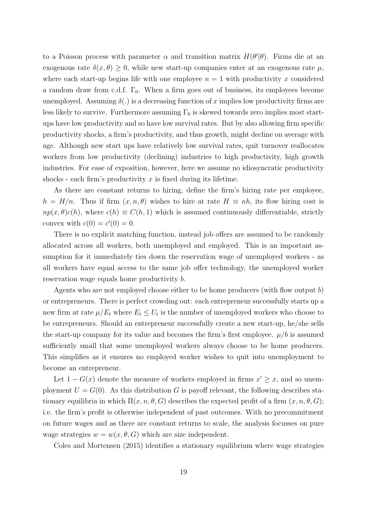to a Poisson process with parameter  $\alpha$  and transition matrix  $H(\theta'|\theta)$ . Firms die at an exogenous rate  $\delta(x, \theta) \geq 0$ , while new start-up companies enter at an exogenous rate  $\mu$ . where each start-up begins life with one employee  $n = 1$  with productivity x considered a random draw from c.d.f.  $\Gamma_0$ . When a firm goes out of business, its employees become unemployed. Assuming  $\delta(.)$  is a decreasing function of x implies low productivity firms are less likely to survive. Furthermore assuming  $\Gamma_0$  is skewed towards zero implies most startups have low productivity and so have low survival rates. But by also allowing firm specific productivity shocks, a firm's productivity, and thus growth, might decline on average with age. Although new start ups have relatively low survival rates, quit turnover reallocates workers from low productivity (declining) industries to high productivity, high growth industries. For ease of exposition, however, here we assume no idiosyncratic productivity shocks - each firm's productivity  $x$  is fixed during its lifetime.

As there are constant returns to hiring, define the firm's hiring rate per employee,  $h = H/n$ . Thus if firm  $(x, n, \theta)$  wishes to hire at rate  $H \equiv nh$ , its flow hiring cost is  $np(x, \theta)c(h)$ , where  $c(h) \equiv C(h, 1)$  which is assumed continuously differentiable, strictly convex with  $c(0) = c'(0) = 0$ .

There is no explicit matching function, instead job offers are assumed to be randomly allocated across all workers, both unemployed and employed. This is an important assumption for it immediately ties down the reservation wage of unemployed workers - as all workers have equal access to the same job offer technology, the unemployed worker reservation wage equals home productivity b.

Agents who are not employed choose either to be home producers (with flow output b) or entrepreneurs. There is perfect crowding out: each entrepreneur successfully starts up a new firm at rate  $\mu/E_t$  where  $E_t \leq U_t$  is the number of unemployed workers who choose to be entrepreneurs. Should an entrepreneur successfully create a new start-up, he/she sells the start-up company for its value and becomes the firm's first employee.  $\mu/b$  is assumed sufficiently small that some unemployed workers always choose to be home producers. This simplifies as it ensures no employed worker wishes to quit into unemployment to become an entrepreneur.

Let  $1 - G(x)$  denote the measure of workers employed in firms  $x' \geq x$ , and so unemployment  $U = G(0)$ . As this distribution G is payoff relevant, the following describes stationary equilibria in which  $\Pi(x, n, \theta, G)$  describes the expected profit of a firm  $(x, n, \theta, G)$ ; i.e. the firm's profit is otherwise independent of past outcomes. With no precommitment on future wages and as there are constant returns to scale, the analysis focusses on pure wage strategies  $w = w(x, \theta, G)$  which are size independent.

Coles and Mortensen (2015) identifies a stationary equilibrium where wage strategies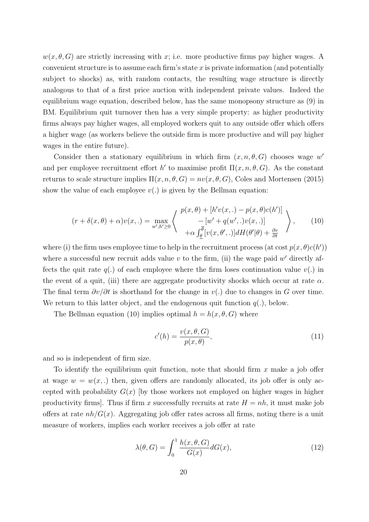$w(x, \theta, G)$  are strictly increasing with x; i.e. more productive firms pay higher wages. A convenient structure is to assume each firm's state  $x$  is private information (and potentially subject to shocks) as, with random contacts, the resulting wage structure is directly analogous to that of a first price auction with independent private values. Indeed the equilibrium wage equation, described below, has the same monopsony structure as (9) in BM. Equilibrium quit turnover then has a very simple property: as higher productivity firms always pay higher wages, all employed workers quit to any outside offer which offers a higher wage (as workers believe the outside firm is more productive and will pay higher wages in the entire future).

Consider then a stationary equilibrium in which firm  $(x, n, \theta, G)$  chooses wage w' and per employee recruitment effort h' to maximise profit  $\Pi(x, n, \theta, G)$ . As the constant returns to scale structure implies  $\Pi(x, n, \theta, G) = nv(x, \theta, G)$ , Coles and Mortensen (2015) show the value of each employee  $v(.)$  is given by the Bellman equation:

$$
(r + \delta(x, \theta) + \alpha)v(x, .) = \max_{w', h' \ge 0} \left\langle \begin{array}{c} p(x, \theta) + [h'v(x, .) - p(x, \theta)c(h')] \\ - [w' + q(w', .)v(x, .)] \\ + \alpha \int_{\underline{\theta}}^{\overline{\theta}} [v(x, \theta', .)] dH(\theta'|\theta) + \frac{\partial v}{\partial t} \end{array} \right\rangle, \tag{10}
$$

where (i) the firm uses employee time to help in the recruitment process (at cost  $p(x, \theta)c(h')$ ) where a successful new recruit adds value  $v$  to the firm, (ii) the wage paid  $w'$  directly affects the quit rate  $q(.)$  of each employee where the firm loses continuation value  $v(.)$  in the event of a quit, (iii) there are aggregate productivity shocks which occur at rate  $\alpha$ . The final term  $\partial v/\partial t$  is shorthand for the change in  $v(.)$  due to changes in G over time. We return to this latter object, and the endogenous quit function  $q(.)$ , below.

The Bellman equation (10) implies optimal  $h = h(x, \theta, G)$  where

$$
c'(h) = \frac{v(x, \theta, G)}{p(x, \theta)},
$$
\n(11)

and so is independent of firm size.

To identify the equilibrium quit function, note that should firm  $x$  make a job offer at wage  $w = w(x,.)$  then, given offers are randomly allocated, its job offer is only accepted with probability  $G(x)$  by those workers not employed on higher wages in higher productivity firms]. Thus if firm x successfully recruits at rate  $H = nh$ , it must make job offers at rate  $nh/G(x)$ . Aggregating job offer rates across all firms, noting there is a unit measure of workers, implies each worker receives a job offer at rate

$$
\lambda(\theta, G) = \int_0^1 \frac{h(x, \theta, G)}{G(x)} dG(x),\tag{12}
$$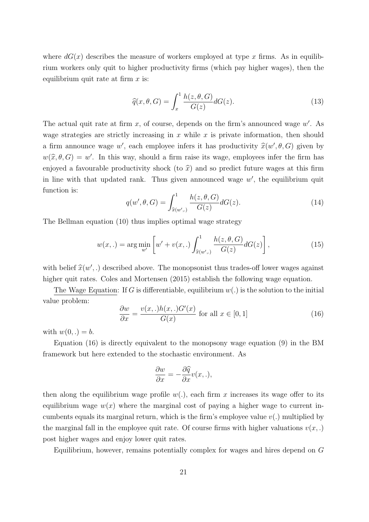where  $dG(x)$  describes the measure of workers employed at type x firms. As in equilibrium workers only quit to higher productivity firms (which pay higher wages), then the equilibrium quit rate at firm  $x$  is:

$$
\widehat{q}(x,\theta,G) = \int_{x}^{1} \frac{h(z,\theta,G)}{G(z)} dG(z).
$$
\n(13)

The actual quit rate at firm  $x$ , of course, depends on the firm's announced wage  $w'$ . As wage strategies are strictly increasing in  $x$  while  $x$  is private information, then should a firm announce wage w', each employee infers it has productivity  $\hat{x}(w', \theta, G)$  given by  $w(\hat{x}, \theta, G) = w'$ . In this way, should a firm raise its wage, employees infer the firm has enjoyed a favourable productivity shock (to  $\hat{x}$ ) and so predict future wages at this firm in line with that updated rank. Thus given announced wage  $w'$ , the equilibrium quit function is:

$$
q(w', \theta, G) = \int_{\widehat{x}(w', \cdot)}^1 \frac{h(z, \theta, G)}{G(z)} dG(z). \tag{14}
$$

The Bellman equation (10) thus implies optimal wage strategy

$$
w(x,.) = \arg\min_{w'} \left[ w' + v(x,.) \int_{\hat{x}(w',.)}^{1} \frac{h(z, \theta, G)}{G(z)} dG(z) \right],
$$
 (15)

with belief  $\hat{x}(w',.)$  described above. The monopsonist thus trades-off lower wages against higher quit rates. Coles and Mortensen (2015) establish the following wage equation.

The Wage Equation: If G is differentiable, equilibrium  $w(.)$  is the solution to the initial value problem:

$$
\frac{\partial w}{\partial x} = \frac{v(x,.)h(x,.)G'(x)}{G(x)}
$$
 for all  $x \in [0, 1]$  (16)

with  $w(0, .) = b$ .

Equation (16) is directly equivalent to the monopsony wage equation (9) in the BM framework but here extended to the stochastic environment. As

$$
\frac{\partial w}{\partial x} = -\frac{\partial \widehat{q}}{\partial x} v(x, .),
$$

then along the equilibrium wage profile  $w(.)$ , each firm x increases its wage offer to its equilibrium wage  $w(x)$  where the marginal cost of paying a higher wage to current incumbents equals its marginal return, which is the firm's employee value  $v(.)$  multiplied by the marginal fall in the employee quit rate. Of course firms with higher valuations  $v(x,.)$ post higher wages and enjoy lower quit rates.

Equilibrium, however, remains potentially complex for wages and hires depend on G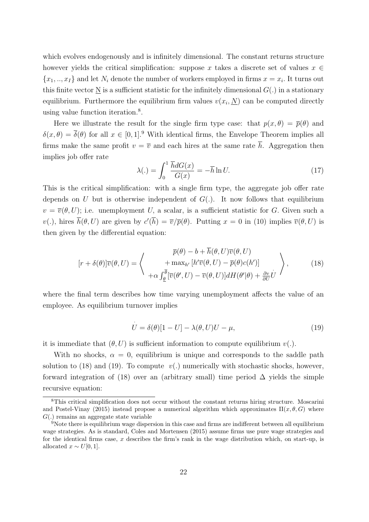which evolves endogenously and is infinitely dimensional. The constant returns structure however yields the critical simplification: suppose x takes a discrete set of values  $x \in$  $\{x_1, ..., x_I\}$  and let  $N_i$  denote the number of workers employed in firms  $x = x_i$ . It turns out this finite vector  $\underline{N}$  is a sufficient statistic for the infinitely dimensional  $G(.)$  in a stationary equilibrium. Furthermore the equilibrium firm values  $v(x_i, \underline{N})$  can be computed directly using value function iteration.<sup>8</sup> .

Here we illustrate the result for the single firm type case: that  $p(x, \theta) = \overline{p}(\theta)$  and  $\delta(x,\theta) = \overline{\delta}(\theta)$  for all  $x \in [0,1]^9$  With identical firms, the Envelope Theorem implies all firms make the same profit  $v = \overline{v}$  and each hires at the same rate  $\overline{h}$ . Aggregation then implies job offer rate

$$
\lambda(.) = \int_0^1 \frac{\overline{h} dG(x)}{G(x)} = -\overline{h} \ln U.
$$
 (17)

This is the critical simplification: with a single firm type, the aggregate job offer rate depends on U but is otherwise independent of  $G(.)$ . It now follows that equilibrium  $v = \overline{v}(\theta, U);$  i.e. unemployment U, a scalar, is a sufficient statistic for G. Given such a  $v(.)$ , hires  $\overline{h}(\theta, U)$  are given by  $c'(\overline{h}) = \overline{v}/\overline{p}(\theta)$ . Putting  $x = 0$  in (10) implies  $\overline{v}(\theta, U)$  is then given by the differential equation:

$$
[r + \delta(\theta)]\overline{v}(\theta, U) = \left\langle \begin{array}{c} \overline{p}(\theta) - b + h(\theta, U)\overline{v}(\theta, U) \\ + \max_{h'} \left[h'\overline{v}(\theta, U) - \overline{p}(\theta)c(h')\right] \\ + \alpha \int_{\underline{\theta}}^{\overline{\theta}} \left[\overline{v}(\theta', U) - \overline{v}(\theta, U)\right] dH(\theta'|\theta) + \frac{\partial v}{\partial U} U \end{array} \right\rangle, \tag{18}
$$

where the final term describes how time varying unemployment affects the value of an employee. As equilibrium turnover implies

$$
\dot{U} = \delta(\theta)[1 - U] - \lambda(\theta, U)U - \mu,
$$
\n(19)

it is immediate that  $(\theta, U)$  is sufficient information to compute equilibrium  $v(.)$ .

With no shocks,  $\alpha = 0$ , equilibrium is unique and corresponds to the saddle path solution to (18) and (19). To compute  $v(.)$  numerically with stochastic shocks, however, forward integration of (18) over an (arbitrary small) time period  $\Delta$  yields the simple recursive equation:

<sup>&</sup>lt;sup>8</sup>This critical simplification does not occur without the constant returns hiring structure. Moscarini and Postel-Vinay (2015) instead propose a numerical algorithm which approximates  $\Pi(x, \theta, G)$  where  $G(.)$  remains an aggregate state variable

<sup>&</sup>lt;sup>9</sup>Note there is equilibrium wage dispersion in this case and firms are indifferent between all equilibrium wage strategies. As is standard, Coles and Mortensen (2015) assume firms use pure wage strategies and for the identical firms case,  $x$  describes the firm's rank in the wage distribution which, on start-up, is allocated  $x \sim U[0, 1]$ .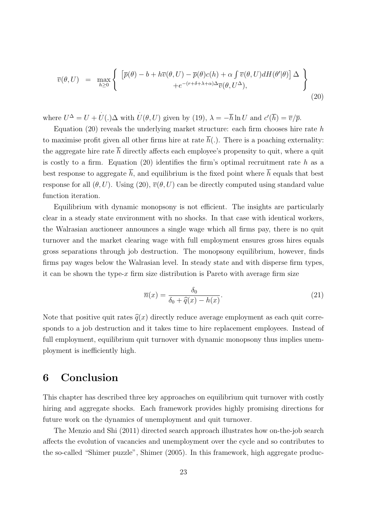$$
\overline{v}(\theta, U) = \max_{h \ge 0} \left\{ \begin{array}{l} \left[ \overline{p}(\theta) - b + h \overline{v}(\theta, U) - \overline{p}(\theta) c(h) + \alpha \int \overline{v}(\theta, U) dH(\theta'|\theta) \right] \Delta \\ + e^{-(r + \delta + \lambda + \alpha)\Delta} \overline{v}(\theta, U^{\Delta}), \end{array} \right\} \tag{20}
$$

where  $U^{\Delta} = U + U(.)\Delta$  with  $U(\theta, U)$  given by (19),  $\lambda = -\overline{h} \ln U$  and  $c'(\overline{h}) = \overline{v}/\overline{p}$ .

Equation  $(20)$  reveals the underlying market structure: each firm chooses hire rate h to maximise profit given all other firms hire at rate  $\bar{h}(.)$ . There is a poaching externality: the aggregate hire rate  $\bar{h}$  directly affects each employee's propensity to quit, where a quit is costly to a firm. Equation  $(20)$  identifies the firm's optimal recruitment rate h as a best response to aggregate  $\bar{h}$ , and equilibrium is the fixed point where  $\bar{h}$  equals that best response for all  $(\theta, U)$ . Using (20),  $\overline{v}(\theta, U)$  can be directly computed using standard value function iteration.

Equilibrium with dynamic monopsony is not efficient. The insights are particularly clear in a steady state environment with no shocks. In that case with identical workers, the Walrasian auctioneer announces a single wage which all firms pay, there is no quit turnover and the market clearing wage with full employment ensures gross hires equals gross separations through job destruction. The monopsony equilibrium, however, finds firms pay wages below the Walrasian level. In steady state and with disperse firm types, it can be shown the type-x firm size distribution is Pareto with average firm size

$$
\overline{n}(x) = \frac{\delta_0}{\delta_0 + \widehat{q}(x) - h(x)}.\tag{21}
$$

Note that positive quit rates  $\hat{q}(x)$  directly reduce average employment as each quit corresponds to a job destruction and it takes time to hire replacement employees. Instead of full employment, equilibrium quit turnover with dynamic monopsony thus implies unemployment is inefficiently high.

# 6 Conclusion

This chapter has described three key approaches on equilibrium quit turnover with costly hiring and aggregate shocks. Each framework provides highly promising directions for future work on the dynamics of unemployment and quit turnover.

The Menzio and Shi (2011) directed search approach illustrates how on-the-job search affects the evolution of vacancies and unemployment over the cycle and so contributes to the so-called "Shimer puzzle", Shimer (2005). In this framework, high aggregate produc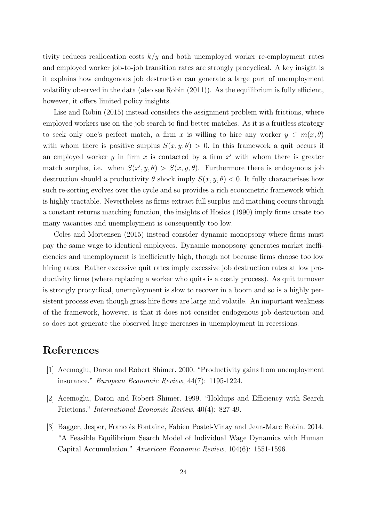tivity reduces reallocation costs  $k/y$  and both unemployed worker re-employment rates and employed worker job-to-job transition rates are strongly procyclical. A key insight is it explains how endogenous job destruction can generate a large part of unemployment volatility observed in the data (also see Robin (2011)). As the equilibrium is fully efficient, however, it offers limited policy insights.

Lise and Robin (2015) instead considers the assignment problem with frictions, where employed workers use on-the-job search to find better matches. As it is a fruitless strategy to seek only one's perfect match, a firm x is willing to hire any worker  $y \in m(x, \theta)$ with whom there is positive surplus  $S(x, y, \theta) > 0$ . In this framework a quit occurs if an employed worker  $y$  in firm  $x$  is contacted by a firm  $x'$  with whom there is greater match surplus, i.e. when  $S(x', y, \theta) > S(x, y, \theta)$ . Furthermore there is endogenous job destruction should a productivity  $\theta$  shock imply  $S(x, y, \theta) < 0$ . It fully characterises how such re-sorting evolves over the cycle and so provides a rich econometric framework which is highly tractable. Nevertheless as firms extract full surplus and matching occurs through a constant returns matching function, the insights of Hosios (1990) imply firms create too many vacancies and unemployment is consequently too low.

Coles and Mortensen (2015) instead consider dynamic monopsony where firms must pay the same wage to identical employees. Dynamic monopsony generates market inefficiencies and unemployment is inefficiently high, though not because firms choose too low hiring rates. Rather excessive quit rates imply excessive job destruction rates at low productivity firms (where replacing a worker who quits is a costly process). As quit turnover is strongly procyclical, unemployment is slow to recover in a boom and so is a highly persistent process even though gross hire flows are large and volatile. An important weakness of the framework, however, is that it does not consider endogenous job destruction and so does not generate the observed large increases in unemployment in recessions.

### References

- [1] Acemoglu, Daron and Robert Shimer. 2000. "Productivity gains from unemployment insurance." European Economic Review, 44(7): 1195-1224.
- [2] Acemoglu, Daron and Robert Shimer. 1999. "Holdups and Efficiency with Search Frictions." International Economic Review, 40(4): 827-49.
- [3] Bagger, Jesper, Francois Fontaine, Fabien Postel-Vinay and Jean-Marc Robin. 2014. "A Feasible Equilibrium Search Model of Individual Wage Dynamics with Human Capital Accumulation." American Economic Review, 104(6): 1551-1596.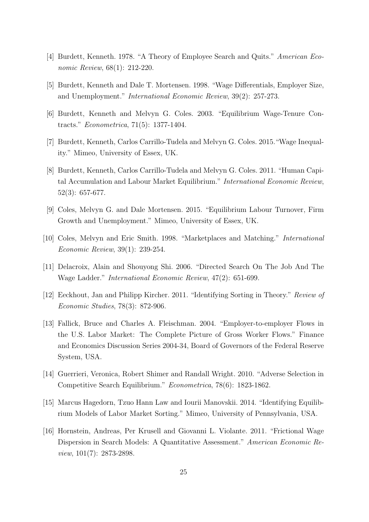- [4] Burdett, Kenneth. 1978. "A Theory of Employee Search and Quits." American Economic Review, 68(1): 212-220.
- [5] Burdett, Kenneth and Dale T. Mortensen. 1998. "Wage Differentials, Employer Size, and Unemployment." International Economic Review, 39(2): 257-273.
- [6] Burdett, Kenneth and Melvyn G. Coles. 2003. "Equilibrium Wage-Tenure Contracts." Econometrica, 71(5): 1377-1404.
- [7] Burdett, Kenneth, Carlos Carrillo-Tudela and Melvyn G. Coles. 2015."Wage Inequality." Mimeo, University of Essex, UK.
- [8] Burdett, Kenneth, Carlos Carrillo-Tudela and Melvyn G. Coles. 2011. "Human Capital Accumulation and Labour Market Equilibrium." International Economic Review, 52(3): 657-677.
- [9] Coles, Melvyn G. and Dale Mortensen. 2015. "Equilibrium Labour Turnover, Firm Growth and Unemployment." Mimeo, University of Essex, UK.
- [10] Coles, Melvyn and Eric Smith. 1998. "Marketplaces and Matching." International Economic Review, 39(1): 239-254.
- [11] Delacroix, Alain and Shouyong Shi. 2006. "Directed Search On The Job And The Wage Ladder." International Economic Review, 47(2): 651-699.
- [12] Eeckhout, Jan and Philipp Kircher. 2011. "Identifying Sorting in Theory." Review of Economic Studies, 78(3): 872-906.
- [13] Fallick, Bruce and Charles A. Fleischman. 2004. "Employer-to-employer Flows in the U.S. Labor Market: The Complete Picture of Gross Worker Flows." Finance and Economics Discussion Series 2004-34, Board of Governors of the Federal Reserve System, USA.
- [14] Guerrieri, Veronica, Robert Shimer and Randall Wright. 2010. "Adverse Selection in Competitive Search Equilibrium." Econometrica, 78(6): 1823-1862.
- [15] Marcus Hagedorn, Tzuo Hann Law and Iourii Manovskii. 2014. "Identifying Equilibrium Models of Labor Market Sorting." Mimeo, University of Pennsylvania, USA.
- [16] Hornstein, Andreas, Per Krusell and Giovanni L. Violante. 2011. "Frictional Wage Dispersion in Search Models: A Quantitative Assessment." American Economic Review, 101(7): 2873-2898.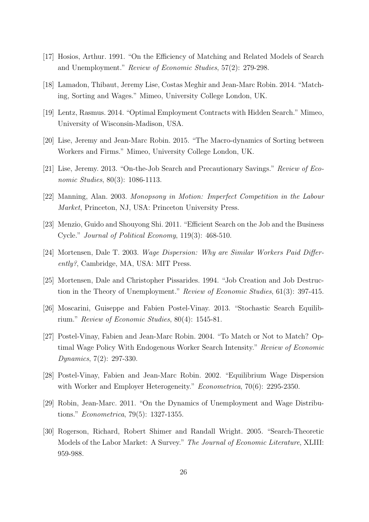- [17] Hosios, Arthur. 1991. "On the Efficiency of Matching and Related Models of Search and Unemployment." Review of Economic Studies, 57(2): 279-298.
- [18] Lamadon, Thibaut, Jeremy Lise, Costas Meghir and Jean-Marc Robin. 2014. "Matching, Sorting and Wages." Mimeo, University College London, UK.
- [19] Lentz, Rasmus. 2014. "Optimal Employment Contracts with Hidden Search." Mimeo, University of Wisconsin-Madison, USA.
- [20] Lise, Jeremy and Jean-Marc Robin. 2015. "The Macro-dynamics of Sorting between Workers and Firms." Mimeo, University College London, UK.
- [21] Lise, Jeremy. 2013. "On-the-Job Search and Precautionary Savings." Review of Economic Studies, 80(3): 1086-1113.
- [22] Manning, Alan. 2003. Monopsony in Motion: Imperfect Competition in the Labour Market, Princeton, NJ, USA: Princeton University Press.
- [23] Menzio, Guido and Shouyong Shi. 2011. "Efficient Search on the Job and the Business Cycle." Journal of Political Economy, 119(3): 468-510.
- [24] Mortensen, Dale T. 2003. Wage Dispersion: Why are Similar Workers Paid Differently?, Cambridge, MA, USA: MIT Press.
- [25] Mortensen, Dale and Christopher Pissarides. 1994. "Job Creation and Job Destruction in the Theory of Unemployment." Review of Economic Studies, 61(3): 397-415.
- [26] Moscarini, Guiseppe and Fabien Postel-Vinay. 2013. "Stochastic Search Equilibrium." Review of Economic Studies, 80(4): 1545-81.
- [27] Postel-Vinay, Fabien and Jean-Marc Robin. 2004. "To Match or Not to Match? Optimal Wage Policy With Endogenous Worker Search Intensity." Review of Economic Dynamics, 7(2): 297-330.
- [28] Postel-Vinay, Fabien and Jean-Marc Robin. 2002. "Equilibrium Wage Dispersion with Worker and Employer Heterogeneity." *Econometrica*, 70(6): 2295-2350.
- [29] Robin, Jean-Marc. 2011. "On the Dynamics of Unemployment and Wage Distributions." Econometrica, 79(5): 1327-1355.
- [30] Rogerson, Richard, Robert Shimer and Randall Wright. 2005. "Search-Theoretic Models of the Labor Market: A Survey." The Journal of Economic Literature, XLIII: 959-988.